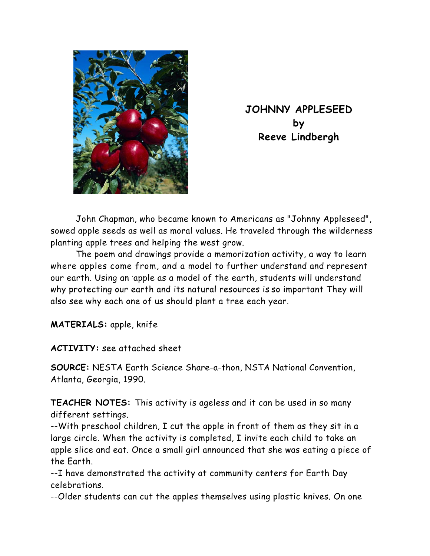

**JOHNNY APPLESEED by Reeve Lindbergh** 

 John Chapman, who became known to Americans as "Johnny Appleseed", sowed apple seeds as well as moral values. He traveled through the wilderness planting apple trees and helping the west grow.

 The poem and drawings provide a memorization activity, a way to learn where apples come from, and a model to further understand and represent our earth. Using an apple as a model of the earth, students will understand why protecting our earth and its natural resources is so important They will also see why each one of us should plant a tree each year.

**MATERIALS:** apple, knife

**ACTIVITY:** see attached sheet

**SOURCE:** NESTA Earth Science Share-a-thon, NSTA National Convention, Atlanta, Georgia, 1990.

**TEACHER NOTES:** This activity is ageless and it can be used in so many different settings.

--With preschool children, I cut the apple in front of them as they sit in a large circle. When the activity is completed, I invite each child to take an apple slice and eat. Once a small girl announced that she was eating a piece of the Earth.

--I have demonstrated the activity at community centers for Earth Day celebrations.

--Older students can cut the apples themselves using plastic knives. On one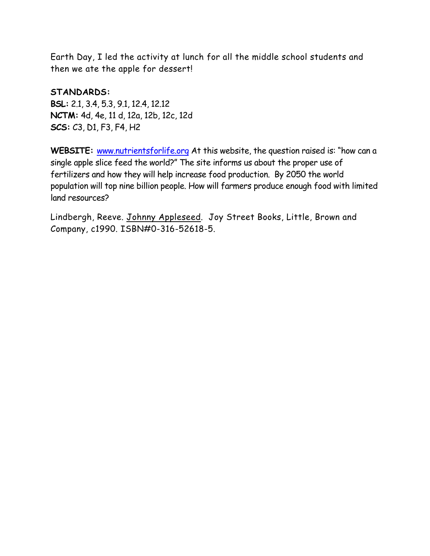Earth Day, I led the activity at lunch for all the middle school students and then we ate the apple for dessert!

**STANDARDS: BSL:** 2.1, 3.4, 5.3, 9.1, 12.4, 12.12 **NCTM:** 4d, 4e, 11 d, 12a, 12b, 12c, 12d **SCS:** C3, D1, F3, F4, H2

**WEBSITE:** www.nutrientsforlife.org At this website, the question raised is: "how can a single apple slice feed the world?" The site informs us about the proper use of fertilizers and how they will help increase food production. By 2050 the world population will top nine billion people. How will farmers produce enough food with limited land resources?

Lindbergh, Reeve. Johnny Appleseed. Joy Street Books, Little, Brown and Company, c1990. ISBN#0-316-52618-5.